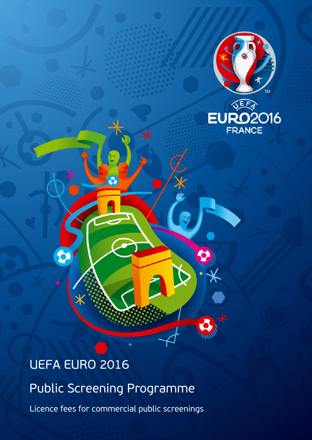

# UEFA EURO 2016

 $\bullet$ 

Public Screening Programme

-8

Licence fees for commercial public screenings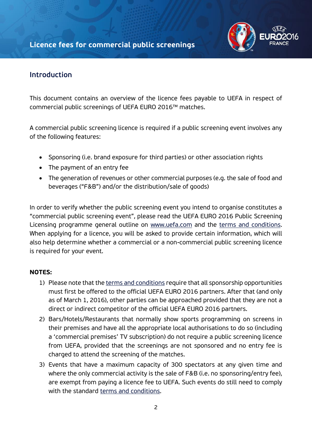

# **Introduction**

This document contains an overview of the licence fees payable to UEFA in respect of commercial public screenings of UEFA EURO 2016™ matches.

A commercial public screening licence is required if a public screening event involves any of the following features:

- Sponsoring (i.e. brand exposure for third parties) or other association rights
- The payment of an entry fee
- The generation of revenues or other commercial purposes (e.g. the sale of food and beverages ("F&B") and/or the distribution/sale of goods)

In order to verify whether the public screening event you intend to organise constitutes a "commercial public screening event", please read the UEFA EURO 2016 Public Screening Licensing programme general outline on [www.uefa.com](http://www.uefa.com/) and the [terms and conditions.](http://www.uefa.com/MultimediaFiles/Download/competitions/General/02/26/89/94/2268994_DOWNLOAD.pdf) When applying for a licence, you will be asked to provide certain information, which will also help determine whether a commercial or a non-commercial public screening licence is required for your event.

#### **NOTES:**

- 1) Please note that the [terms and conditions](http://www.uefa.com/MultimediaFiles/Download/competitions/General/02/26/89/94/2268994_DOWNLOAD.pdf) require that all sponsorship opportunities must first be offered to the official UEFA EURO 2016 partners. After that (and only as of March 1, 2016), other parties can be approached provided that they are not a direct or indirect competitor of the official UEFA EURO 2016 partners.
- 2) Bars/Hotels/Restaurants that normally show sports programming on screens in their premises and have all the appropriate local authorisations to do so (including a 'commercial premises' TV subscription) do not require a public screening licence from UEFA, provided that the screenings are not sponsored and no entry fee is charged to attend the screening of the matches.
- 3) Events that have a maximum capacity of 300 spectators at any given time and where the only commercial activity is the sale of F&B (i.e. no sponsoring/entry fee), are exempt from paying a licence fee to UEFA. Such events do still need to comply with the standard [terms and conditions.](http://www.uefa.com/MultimediaFiles/Download/competitions/General/02/26/89/94/2268994_DOWNLOAD.pdf)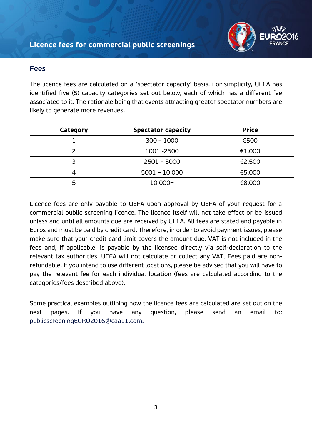

## **Fees**

The licence fees are calculated on a 'spectator capacity' basis. For simplicity, UEFA has identified five (5) capacity categories set out below, each of which has a different fee associated to it. The rationale being that events attracting greater spectator numbers are likely to generate more revenues.

| Category | <b>Spectator capacity</b> | <b>Price</b> |
|----------|---------------------------|--------------|
|          | $300 - 1000$              | €500         |
|          | 1001 - 2500               | €1.000       |
| っ        | $2501 - 5000$             | €2.500       |
|          | $5001 - 10000$            | €5.000       |
| 5        | 10 000+                   | €8.000       |

Licence fees are only payable to UEFA upon approval by UEFA of your request for a commercial public screening licence. The licence itself will not take effect or be issued unless and until all amounts due are received by UEFA. All fees are stated and payable in Euros and must be paid by credit card. Therefore, in order to avoid payment issues, please make sure that your credit card limit covers the amount due. VAT is not included in the fees and, if applicable, is payable by the licensee directly via self-declaration to the relevant tax authorities. UEFA will not calculate or collect any VAT. Fees paid are nonrefundable. If you intend to use different locations, please be advised that you will have to pay the relevant fee for each individual location (fees are calculated according to the categories/fees described above).

Some practical examples outlining how the licence fees are calculated are set out on the next pages. If you have any question, please send an email to: [publicscreeningEURO2016@caa11.com.](mailto:publicscreeningEURO2016@caa11.com)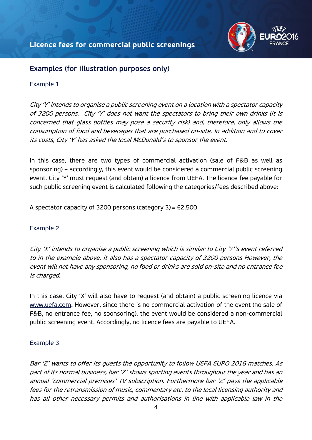

## **Examples (for illustration purposes only)**

#### Example 1

City 'Y' intends to organise a public screening event on a location with a spectator capacity of 3200 persons. City 'Y' does not want the spectators to bring their own drinks (it is concerned that glass bottles may pose a security risk) and, therefore, only allows the consumption of food and beverages that are purchased on-site. In addition and to cover its costs, City 'Y' has asked the local McDonald's to sponsor the event.

In this case, there are two types of commercial activation (sale of F&B as well as sponsoring) – accordingly, this event would be considered a commercial public screening event. City 'Y' must request (and obtain) a licence from UEFA. The licence fee payable for such public screening event is calculated following the categories/fees described above:

A spectator capacity of 3200 persons (category 3) =  $\epsilon$ 2.500

## Example 2

City 'X' intends to organise a public screening which is similar to City 'Y''s event referred to in the example above. It also has a spectator capacity of 3200 persons However, the event will not have any sponsoring, no food or drinks are sold on-site and no entrance fee is charged.

In this case, City 'X' will also have to request (and obtain) a public screening licence via [www.uefa.com.](http://www.uefa.com/) However, since there is no commercial activation of the event (no sale of F&B, no entrance fee, no sponsoring), the event would be considered a non-commercial public screening event. Accordingly, no licence fees are payable to UEFA.

#### Example 3

Bar 'Z' wants to offer its guests the opportunity to follow UEFA EURO 2016 matches. As part of its normal business, bar 'Z' shows sporting events throughout the year and has an annual 'commercial premises' TV subscription. Furthermore bar 'Z' pays the applicable fees for the retransmission of music, commentary etc. to the local licensing authority and has all other necessary permits and authorisations in line with applicable law in the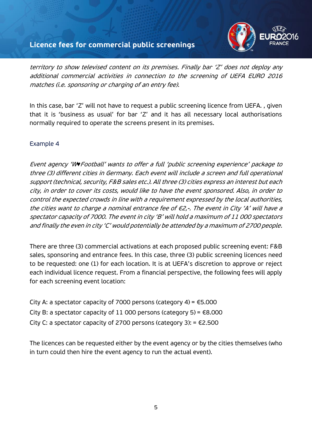## **Licence fees for commercial public screenings**



territory to show televised content on its premises. Finally bar 'Z' does not deploy any additional commercial activities in connection to the screening of UEFA EURO 2016 matches (i.e. sponsoring or charging of an entry fee).

In this case, bar 'Z' will not have to request a public screening licence from UEFA. , given that it is 'business as usual' for bar 'Z' and it has all necessary local authorisations normally required to operate the screens present in its premises.

#### Example 4

Event agency 'W*♥*Football' wants to offer a full 'public screening experience' package to three (3) different cities in Germany. Each event will include a screen and full operational support (technical, security, F&B sales etc.). All three (3) cities express an interest but each city, in order to cover its costs, would like to have the event sponsored. Also, in order to control the expected crowds in line with a requirement expressed by the local authorities, the cities want to charge a nominal entrance fee of  $\in 2,$ -. The event in City 'A' will have a spectator capacity of 7000. The event in city 'B' will hold a maximum of 11 000 spectators and finally the even in city 'C' would potentially be attended by a maximum of 2700 people.

There are three (3) commercial activations at each proposed public screening event: F&B sales, sponsoring and entrance fees. In this case, three (3) public screening licences need to be requested: one (1) for each location. It is at UEFA's discretion to approve or reject each individual licence request. From a financial perspective, the following fees will apply for each screening event location:

City A: a spectator capacity of 7000 persons (category 4) =  $\epsilon$ 5.000 City B: a spectator capacity of 11 000 persons (category 5) =  $\epsilon$ 8.000 City C: a spectator capacity of 2700 persons (category 3):  $=$   $\in$ 2.500

The licences can be requested either by the event agency or by the cities themselves (who in turn could then hire the event agency to run the actual event).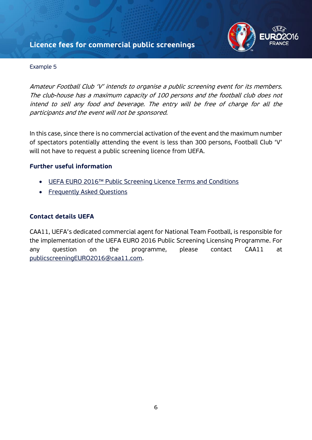# **Licence fees for commercial public screenings**



#### Example 5

Amateur Football Club 'V' intends to organise a public screening event for its members. The club-house has a maximum capacity of 100 persons and the football club does not intend to sell any food and beverage. The entry will be free of charge for all the participants and the event will not be sponsored.

In this case, since there is no commercial activation of the event and the maximum number of spectators potentially attending the event is less than 300 persons, Football Club 'V' will not have to request a public screening licence from UEFA.

#### **Further useful information**

- [UEFA EURO 2016™ Public Screening Licence Terms and Conditions](http://www.uefa.com/MultimediaFiles/Download/competitions/General/02/26/89/94/2268994_DOWNLOAD.pdf)
- [Frequently Asked Questions](http://www.uefa.com/MultimediaFiles/Download/competitions/General/02/26/91/83/2269183_DOWNLOAD.pdf)

#### **Contact details UEFA**

CAA11, UEFA's dedicated commercial agent for National Team Football, is responsible for the implementation of the UEFA EURO 2016 Public Screening Licensing Programme. For any question on the programme, please contact CAA11 at [publicscreeningEURO2016@caa11.com.](mailto:publicscreeningEURO2016@caa11.com)